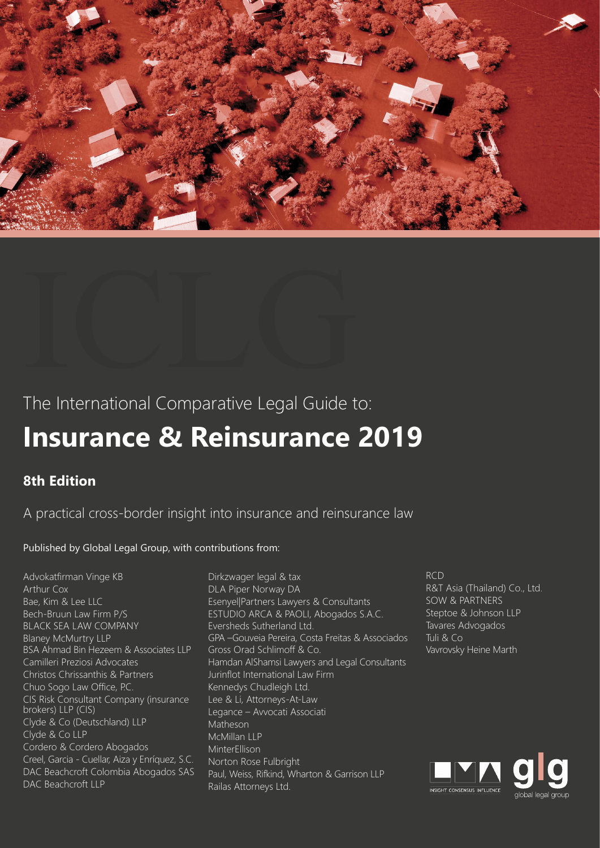

# The International Comparative Legal Guide to:

# **Insurance & Reinsurance 2019**

## **8th Edition**

A practical cross-border insight into insurance and reinsurance law

### Published by Global Legal Group, with contributions from:

Advokatfirman Vinge KB Arthur Cox Bae, Kim & Lee LLC Bech-Bruun Law Firm P/S BLACK SEA LAW COMPANY Blaney McMurtry LLP BSA Ahmad Bin Hezeem & Associates LLP Camilleri Preziosi Advocates Christos Chrissanthis & Partners Chuo Sogo Law Office, P.C. CIS Risk Consultant Company (insurance brokers) LLP (CIS) Clyde & Co (Deutschland) LLP Clyde & Co LLP Cordero & Cordero Abogados Creel, Garcia - Cuellar, Aiza y Enríquez, S.C. DAC Beachcroft Colombia Abogados SAS DAC Beachcroft LLP

Dirkzwager legal & tax DLA Piper Norway DA Esenyel|Partners Lawyers & Consultants ESTUDIO ARCA & PAOLI, Abogados S.A.C. Eversheds Sutherland Ltd. GPA –Gouveia Pereira, Costa Freitas & Associados Gross Orad Schlimoff & Co. Hamdan AlShamsi Lawyers and Legal Consultants Jurinflot International Law Firm Kennedys Chudleigh Ltd. Lee & Li, Attorneys-At-Law Legance – Avvocati Associati Matheson McMillan LLP MinterEllison Norton Rose Fulbright Paul, Weiss, Rifkind, Wharton & Garrison LLP Railas Attorneys Ltd.

#### RCD R&T Asia (Thailand) Co., Ltd. SOW & PARTNERS Steptoe & Johnson LLP Tavares Advogados Tuli & Co Vavrovsky Heine Marth

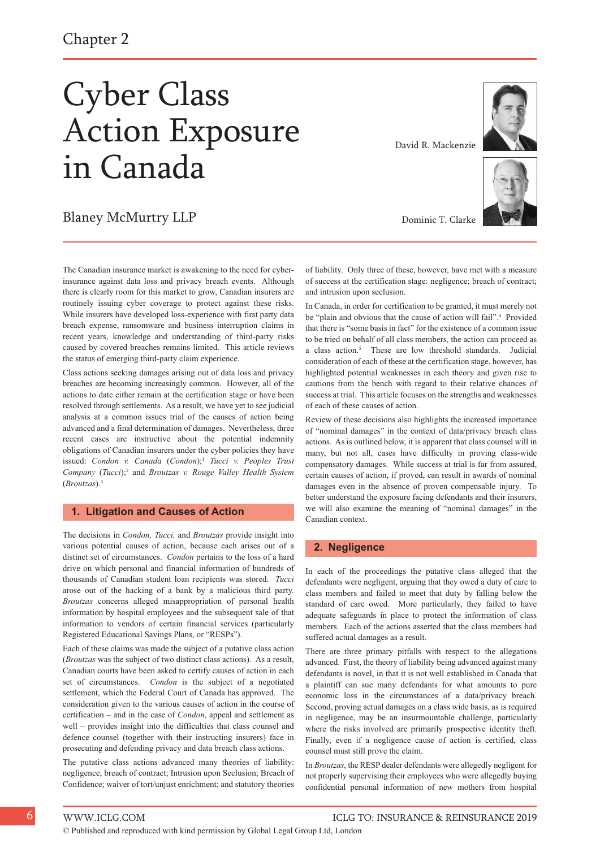Chapter 2

# Cyber Class Action Exposure in Canada

### Blaney McMurtry LLP

The Canadian insurance market is awakening to the need for cyberinsurance against data loss and privacy breach events. Although there is clearly room for this market to grow, Canadian insurers are routinely issuing cyber coverage to protect against these risks. While insurers have developed loss-experience with first party data breach expense, ransomware and business interruption claims in recent years, knowledge and understanding of third-party risks caused by covered breaches remains limited. This article reviews the status of emerging third-party claim experience.

Class actions seeking damages arising out of data loss and privacy breaches are becoming increasingly common. However, all of the actions to date either remain at the certification stage or have been resolved through settlements. As a result, we have yet to see judicial analysis at a common issues trial of the causes of action being advanced and a final determination of damages. Nevertheless, three recent cases are instructive about the potential indemnity obligations of Canadian insurers under the cyber policies they have issued: *Condon v. Canada* (*Condon*);1 *Tucci v. Peoples Trust Company* (*Tucci*);2 and *Broutzas v. Rouge Valley Health System* (*Broutzas*).3

#### **1. Litigation and Causes of Action**

The decisions in *Condon, Tucci,* and *Broutzas* provide insight into various potential causes of action, because each arises out of a distinct set of circumstances. *Condon* pertains to the loss of a hard drive on which personal and financial information of hundreds of thousands of Canadian student loan recipients was stored. *Tucci* arose out of the hacking of a bank by a malicious third party. *Broutzas* concerns alleged misappropriation of personal health information by hospital employees and the subsequent sale of that information to vendors of certain financial services (particularly Registered Educational Savings Plans, or "RESPs").

Each of these claims was made the subject of a putative class action (*Broutzas* was the subject of two distinct class actions). As a result, Canadian courts have been asked to certify causes of action in each set of circumstances. *Condon* is the subject of a negotiated settlement, which the Federal Court of Canada has approved. The consideration given to the various causes of action in the course of certification – and in the case of *Condon*, appeal and settlement as well – provides insight into the difficulties that class counsel and defence counsel (together with their instructing insurers) face in prosecuting and defending privacy and data breach class actions.

The putative class actions advanced many theories of liability: negligence; breach of contract; Intrusion upon Seclusion; Breach of Confidence; waiver of tort/unjust enrichment; and statutory theories

of liability. Only three of these, however, have met with a measure of success at the certification stage: negligence; breach of contract; and intrusion upon seclusion.

Dominic T. Clarke

In Canada, in order for certification to be granted, it must merely not be "plain and obvious that the cause of action will fail".<sup>4</sup> Provided that there is "some basis in fact" for the existence of a common issue to be tried on behalf of all class members, the action can proceed as a class action.5 These are low threshold standards. Judicial consideration of each of these at the certification stage, however, has highlighted potential weaknesses in each theory and given rise to cautions from the bench with regard to their relative chances of success at trial. This article focuses on the strengths and weaknesses of each of these causes of action.

Review of these decisions also highlights the increased importance of "nominal damages" in the context of data/privacy breach class actions. As is outlined below, it is apparent that class counsel will in many, but not all, cases have difficulty in proving class-wide compensatory damages. While success at trial is far from assured, certain causes of action, if proved, can result in awards of nominal damages even in the absence of proven compensable injury. To better understand the exposure facing defendants and their insurers, we will also examine the meaning of "nominal damages" in the Canadian context.

#### **2. Negligence**

In each of the proceedings the putative class alleged that the defendants were negligent, arguing that they owed a duty of care to class members and failed to meet that duty by falling below the standard of care owed. More particularly, they failed to have adequate safeguards in place to protect the information of class members. Each of the actions asserted that the class members had suffered actual damages as a result.

There are three primary pitfalls with respect to the allegations advanced. First, the theory of liability being advanced against many defendants is novel, in that it is not well established in Canada that a plaintiff can sue many defendants for what amounts to pure economic loss in the circumstances of a data/privacy breach. Second, proving actual damages on a class wide basis, as is required in negligence, may be an insurmountable challenge, particularly where the risks involved are primarily prospective identity theft. Finally, even if a negligence cause of action is certified, class counsel must still prove the claim.

In *Broutzas*, the RESP dealer defendants were allegedly negligent for not properly supervising their employees who were allegedly buying confidential personal information of new mothers from hospital



© Published and reproduced with kind permission by Global Legal Group Ltd, London



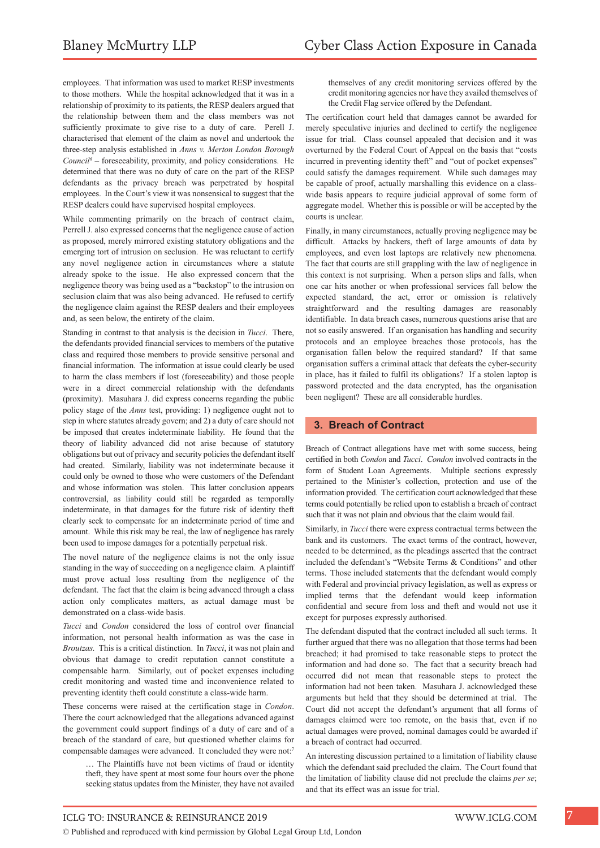employees. That information was used to market RESP investments to those mothers. While the hospital acknowledged that it was in a relationship of proximity to its patients, the RESP dealers argued that the relationship between them and the class members was not sufficiently proximate to give rise to a duty of care. Perell J. characterised that element of the claim as novel and undertook the three-step analysis established in *Anns v. Merton London Borough Council<sup>6</sup>* – foreseeability, proximity, and policy considerations. He determined that there was no duty of care on the part of the RESP defendants as the privacy breach was perpetrated by hospital employees. In the Court's view it was nonsensical to suggest that the RESP dealers could have supervised hospital employees.

While commenting primarily on the breach of contract claim, Perrell J. also expressed concerns that the negligence cause of action as proposed, merely mirrored existing statutory obligations and the emerging tort of intrusion on seclusion. He was reluctant to certify any novel negligence action in circumstances where a statute already spoke to the issue. He also expressed concern that the negligence theory was being used as a "backstop" to the intrusion on seclusion claim that was also being advanced. He refused to certify the negligence claim against the RESP dealers and their employees and, as seen below, the entirety of the claim.

Standing in contrast to that analysis is the decision in *Tucci*. There, the defendants provided financial services to members of the putative class and required those members to provide sensitive personal and financial information. The information at issue could clearly be used to harm the class members if lost (foreseeability) and those people were in a direct commercial relationship with the defendants (proximity). Masuhara J. did express concerns regarding the public policy stage of the *Anns* test, providing: 1) negligence ought not to step in where statutes already govern; and 2) a duty of care should not be imposed that creates indeterminate liability. He found that the theory of liability advanced did not arise because of statutory obligations but out of privacy and security policies the defendant itself had created. Similarly, liability was not indeterminate because it could only be owned to those who were customers of the Defendant and whose information was stolen. This latter conclusion appears controversial, as liability could still be regarded as temporally indeterminate, in that damages for the future risk of identity theft clearly seek to compensate for an indeterminate period of time and amount. While this risk may be real, the law of negligence has rarely been used to impose damages for a potentially perpetual risk.

The novel nature of the negligence claims is not the only issue standing in the way of succeeding on a negligence claim. A plaintiff must prove actual loss resulting from the negligence of the defendant. The fact that the claim is being advanced through a class action only complicates matters, as actual damage must be demonstrated on a class-wide basis.

*Tucci* and *Condon* considered the loss of control over financial information, not personal health information as was the case in *Broutzas.* This is a critical distinction. In *Tucci*, it was not plain and obvious that damage to credit reputation cannot constitute a compensable harm. Similarly, out of pocket expenses including credit monitoring and wasted time and inconvenience related to preventing identity theft could constitute a class-wide harm.

These concerns were raised at the certification stage in *Condon*. There the court acknowledged that the allegations advanced against the government could support findings of a duty of care and of a breach of the standard of care, but questioned whether claims for compensable damages were advanced. It concluded they were not:<sup>7</sup>

… The Plaintiffs have not been victims of fraud or identity theft, they have spent at most some four hours over the phone seeking status updates from the Minister, they have not availed themselves of any credit monitoring services offered by the credit monitoring agencies nor have they availed themselves of the Credit Flag service offered by the Defendant.

The certification court held that damages cannot be awarded for merely speculative injuries and declined to certify the negligence issue for trial. Class counsel appealed that decision and it was overturned by the Federal Court of Appeal on the basis that "costs incurred in preventing identity theft" and "out of pocket expenses" could satisfy the damages requirement. While such damages may be capable of proof, actually marshalling this evidence on a classwide basis appears to require judicial approval of some form of aggregate model. Whether this is possible or will be accepted by the courts is unclear.

Finally, in many circumstances, actually proving negligence may be difficult. Attacks by hackers, theft of large amounts of data by employees, and even lost laptops are relatively new phenomena. The fact that courts are still grappling with the law of negligence in this context is not surprising. When a person slips and falls, when one car hits another or when professional services fall below the expected standard, the act, error or omission is relatively straightforward and the resulting damages are reasonably identifiable. In data breach cases, numerous questions arise that are not so easily answered. If an organisation has handling and security protocols and an employee breaches those protocols, has the organisation fallen below the required standard? If that same organisation suffers a criminal attack that defeats the cyber-security in place, has it failed to fulfil its obligations? If a stolen laptop is password protected and the data encrypted, has the organisation been negligent? These are all considerable hurdles.

#### **3. Breach of Contract**

Breach of Contract allegations have met with some success, being certified in both *Condon* and *Tucci*. *Condon* involved contracts in the form of Student Loan Agreements. Multiple sections expressly pertained to the Minister's collection, protection and use of the information provided. The certification court acknowledged that these terms could potentially be relied upon to establish a breach of contract such that it was not plain and obvious that the claim would fail.

Similarly, in *Tucci* there were express contractual terms between the bank and its customers. The exact terms of the contract, however, needed to be determined, as the pleadings asserted that the contract included the defendant's "Website Terms & Conditions" and other terms. Those included statements that the defendant would comply with Federal and provincial privacy legislation, as well as express or implied terms that the defendant would keep information confidential and secure from loss and theft and would not use it except for purposes expressly authorised.

The defendant disputed that the contract included all such terms. It further argued that there was no allegation that those terms had been breached; it had promised to take reasonable steps to protect the information and had done so. The fact that a security breach had occurred did not mean that reasonable steps to protect the information had not been taken. Masuhara J. acknowledged these arguments but held that they should be determined at trial. The Court did not accept the defendant's argument that all forms of damages claimed were too remote, on the basis that, even if no actual damages were proved, nominal damages could be awarded if a breach of contract had occurred.

An interesting discussion pertained to a limitation of liability clause which the defendant said precluded the claim. The Court found that the limitation of liability clause did not preclude the claims *per se*; and that its effect was an issue for trial.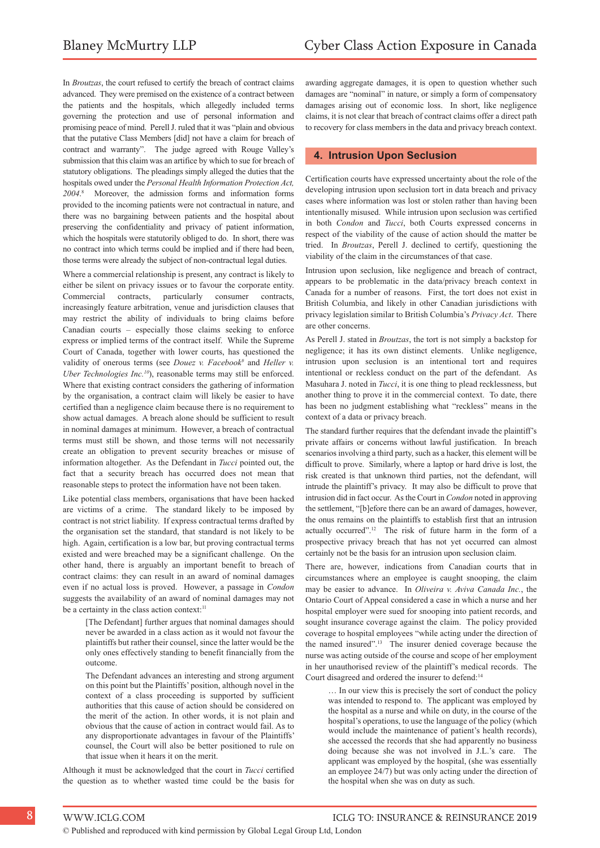In *Broutzas*, the court refused to certify the breach of contract claims advanced. They were premised on the existence of a contract between the patients and the hospitals, which allegedly included terms governing the protection and use of personal information and promising peace of mind. Perell J. ruled that it was "plain and obvious that the putative Class Members [did] not have a claim for breach of contract and warranty". The judge agreed with Rouge Valley's submission that this claim was an artifice by which to sue for breach of statutory obligations. The pleadings simply alleged the duties that the hospitals owed under the *Personal Health Information Protection Act, 2004*. 8 Moreover, the admission forms and information forms provided to the incoming patients were not contractual in nature, and there was no bargaining between patients and the hospital about preserving the confidentiality and privacy of patient information, which the hospitals were statutorily obliged to do. In short, there was no contract into which terms could be implied and if there had been, those terms were already the subject of non-contractual legal duties.

Where a commercial relationship is present, any contract is likely to either be silent on privacy issues or to favour the corporate entity. Commercial contracts, particularly consumer contracts, increasingly feature arbitration, venue and jurisdiction clauses that may restrict the ability of individuals to bring claims before Canadian courts – especially those claims seeking to enforce express or implied terms of the contract itself. While the Supreme Court of Canada, together with lower courts, has questioned the validity of onerous terms (see *Douez v. Facebook<sup>9</sup>* and *Heller v. Uber Technologies Inc.<sup>10</sup>*), reasonable terms may still be enforced. Where that existing contract considers the gathering of information by the organisation, a contract claim will likely be easier to have certified than a negligence claim because there is no requirement to show actual damages. A breach alone should be sufficient to result in nominal damages at minimum. However, a breach of contractual terms must still be shown, and those terms will not necessarily create an obligation to prevent security breaches or misuse of information altogether. As the Defendant in *Tucci* pointed out, the fact that a security breach has occurred does not mean that reasonable steps to protect the information have not been taken.

Like potential class members, organisations that have been hacked are victims of a crime. The standard likely to be imposed by contract is not strict liability. If express contractual terms drafted by the organisation set the standard, that standard is not likely to be high. Again, certification is a low bar, but proving contractual terms existed and were breached may be a significant challenge. On the other hand, there is arguably an important benefit to breach of contract claims: they can result in an award of nominal damages even if no actual loss is proved. However, a passage in *Condon* suggests the availability of an award of nominal damages may not be a certainty in the class action context:<sup>11</sup>

[The Defendant] further argues that nominal damages should never be awarded in a class action as it would not favour the plaintiffs but rather their counsel, since the latter would be the only ones effectively standing to benefit financially from the outcome.

The Defendant advances an interesting and strong argument on this point but the Plaintiffs' position, although novel in the context of a class proceeding is supported by sufficient authorities that this cause of action should be considered on the merit of the action. In other words, it is not plain and obvious that the cause of action in contract would fail. As to any disproportionate advantages in favour of the Plaintiffs' counsel, the Court will also be better positioned to rule on that issue when it hears it on the merit.

Although it must be acknowledged that the court in *Tucci* certified the question as to whether wasted time could be the basis for awarding aggregate damages, it is open to question whether such damages are "nominal" in nature, or simply a form of compensatory damages arising out of economic loss. In short, like negligence claims, it is not clear that breach of contract claims offer a direct path to recovery for class members in the data and privacy breach context.

#### **4. Intrusion Upon Seclusion**

Certification courts have expressed uncertainty about the role of the developing intrusion upon seclusion tort in data breach and privacy cases where information was lost or stolen rather than having been intentionally misused. While intrusion upon seclusion was certified in both *Condon* and *Tucci*, both Courts expressed concerns in respect of the viability of the cause of action should the matter be tried. In *Broutzas*, Perell J. declined to certify, questioning the viability of the claim in the circumstances of that case.

Intrusion upon seclusion, like negligence and breach of contract, appears to be problematic in the data/privacy breach context in Canada for a number of reasons. First, the tort does not exist in British Columbia, and likely in other Canadian jurisdictions with privacy legislation similar to British Columbia's *Privacy Act*. There are other concerns.

As Perell J. stated in *Broutzas*, the tort is not simply a backstop for negligence; it has its own distinct elements. Unlike negligence, intrusion upon seclusion is an intentional tort and requires intentional or reckless conduct on the part of the defendant. As Masuhara J. noted in *Tucci*, it is one thing to plead recklessness, but another thing to prove it in the commercial context. To date, there has been no judgment establishing what "reckless" means in the context of a data or privacy breach.

The standard further requires that the defendant invade the plaintiff's private affairs or concerns without lawful justification. In breach scenarios involving a third party, such as a hacker, this element will be difficult to prove. Similarly, where a laptop or hard drive is lost, the risk created is that unknown third parties, not the defendant, will intrude the plaintiff's privacy. It may also be difficult to prove that intrusion did in fact occur. As the Court in *Condon* noted in approving the settlement, "[b]efore there can be an award of damages, however, the onus remains on the plaintiffs to establish first that an intrusion actually occurred".<sup>12</sup> The risk of future harm in the form of a prospective privacy breach that has not yet occurred can almost certainly not be the basis for an intrusion upon seclusion claim.

There are, however, indications from Canadian courts that in circumstances where an employee is caught snooping, the claim may be easier to advance. In *Oliveira v. Aviva Canada Inc.*, the Ontario Court of Appeal considered a case in which a nurse and her hospital employer were sued for snooping into patient records, and sought insurance coverage against the claim. The policy provided coverage to hospital employees "while acting under the direction of the named insured".<sup>13</sup> The insurer denied coverage because the nurse was acting outside of the course and scope of her employment in her unauthorised review of the plaintiff's medical records. The Court disagreed and ordered the insurer to defend:<sup>14</sup>

… In our view this is precisely the sort of conduct the policy was intended to respond to. The applicant was employed by the hospital as a nurse and while on duty, in the course of the hospital's operations, to use the language of the policy (which would include the maintenance of patient's health records), she accessed the records that she had apparently no business doing because she was not involved in J.L.'s care. The applicant was employed by the hospital, (she was essentially an employee 24/7) but was only acting under the direction of the hospital when she was on duty as such.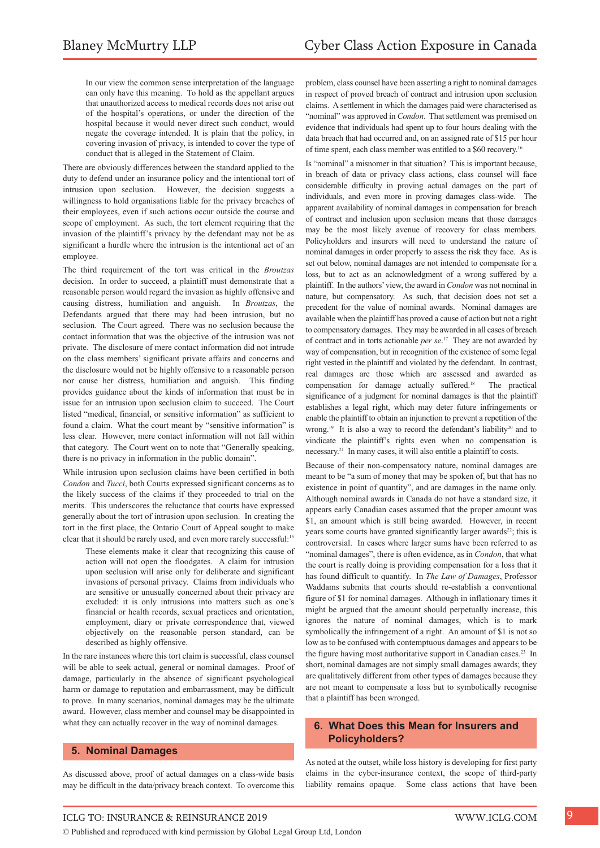In our view the common sense interpretation of the language can only have this meaning. To hold as the appellant argues that unauthorized access to medical records does not arise out of the hospital's operations, or under the direction of the hospital because it would never direct such conduct, would negate the coverage intended. It is plain that the policy, in covering invasion of privacy, is intended to cover the type of conduct that is alleged in the Statement of Claim.

There are obviously differences between the standard applied to the duty to defend under an insurance policy and the intentional tort of intrusion upon seclusion. However, the decision suggests a willingness to hold organisations liable for the privacy breaches of their employees, even if such actions occur outside the course and scope of employment. As such, the tort element requiring that the invasion of the plaintiff's privacy by the defendant may not be as significant a hurdle where the intrusion is the intentional act of an employee.

The third requirement of the tort was critical in the *Broutzas*  decision. In order to succeed, a plaintiff must demonstrate that a reasonable person would regard the invasion as highly offensive and causing distress, humiliation and anguish. In *Broutzas*, the Defendants argued that there may had been intrusion, but no seclusion. The Court agreed. There was no seclusion because the contact information that was the objective of the intrusion was not private. The disclosure of mere contact information did not intrude on the class members' significant private affairs and concerns and the disclosure would not be highly offensive to a reasonable person nor cause her distress, humiliation and anguish. This finding provides guidance about the kinds of information that must be in issue for an intrusion upon seclusion claim to succeed. The Court listed "medical, financial, or sensitive information" as sufficient to found a claim. What the court meant by "sensitive information" is less clear. However, mere contact information will not fall within that category. The Court went on to note that "Generally speaking, there is no privacy in information in the public domain".

While intrusion upon seclusion claims have been certified in both *Condon* and *Tucci*, both Courts expressed significant concerns as to the likely success of the claims if they proceeded to trial on the merits. This underscores the reluctance that courts have expressed generally about the tort of intrusion upon seclusion. In creating the tort in the first place, the Ontario Court of Appeal sought to make clear that it should be rarely used, and even more rarely successful:<sup>15</sup>

These elements make it clear that recognizing this cause of action will not open the floodgates. A claim for intrusion upon seclusion will arise only for deliberate and significant invasions of personal privacy. Claims from individuals who are sensitive or unusually concerned about their privacy are excluded: it is only intrusions into matters such as one's financial or health records, sexual practices and orientation, employment, diary or private correspondence that, viewed objectively on the reasonable person standard, can be described as highly offensive.

In the rare instances where this tort claim is successful, class counsel will be able to seek actual, general or nominal damages. Proof of damage, particularly in the absence of significant psychological harm or damage to reputation and embarrassment, may be difficult to prove. In many scenarios, nominal damages may be the ultimate award. However, class member and counsel may be disappointed in what they can actually recover in the way of nominal damages.

#### **5. Nominal Damages**

As discussed above, proof of actual damages on a class-wide basis may be difficult in the data/privacy breach context. To overcome this

problem, class counsel have been asserting a right to nominal damages in respect of proved breach of contract and intrusion upon seclusion claims. A settlement in which the damages paid were characterised as "nominal" was approved in *Condon*. That settlement was premised on evidence that individuals had spent up to four hours dealing with the data breach that had occurred and, on an assigned rate of \$15 per hour of time spent, each class member was entitled to a \$60 recovery.<sup>16</sup>

Is "nominal" a misnomer in that situation? This is important because, in breach of data or privacy class actions, class counsel will face considerable difficulty in proving actual damages on the part of individuals, and even more in proving damages class-wide. The apparent availability of nominal damages in compensation for breach of contract and inclusion upon seclusion means that those damages may be the most likely avenue of recovery for class members. Policyholders and insurers will need to understand the nature of nominal damages in order properly to assess the risk they face. As is set out below, nominal damages are not intended to compensate for a loss, but to act as an acknowledgment of a wrong suffered by a plaintiff. In the authors' view, the award in *Condon* was not nominal in nature, but compensatory. As such, that decision does not set a precedent for the value of nominal awards. Nominal damages are available when the plaintiff has proved a cause of action but not a right to compensatory damages. They may be awarded in all cases of breach of contract and in torts actionable *per se*. <sup>17</sup> They are not awarded by way of compensation, but in recognition of the existence of some legal right vested in the plaintiff and violated by the defendant. In contrast, real damages are those which are assessed and awarded as compensation for damage actually suffered.<sup>18</sup> The practical significance of a judgment for nominal damages is that the plaintiff establishes a legal right, which may deter future infringements or enable the plaintiff to obtain an injunction to prevent a repetition of the wrong.<sup>19</sup> It is also a way to record the defendant's liability<sup>20</sup> and to vindicate the plaintiff's rights even when no compensation is necessary.<sup>21</sup> In many cases, it will also entitle a plaintiff to costs.

Because of their non-compensatory nature, nominal damages are meant to be "a sum of money that may be spoken of, but that has no existence in point of quantity", and are damages in the name only. Although nominal awards in Canada do not have a standard size, it appears early Canadian cases assumed that the proper amount was \$1, an amount which is still being awarded. However, in recent years some courts have granted significantly larger awards<sup>22</sup>; this is controversial. In cases where larger sums have been referred to as "nominal damages", there is often evidence, as in *Condon*, that what the court is really doing is providing compensation for a loss that it has found difficult to quantify. In *The Law of Damages*, Professor Waddams submits that courts should re-establish a conventional figure of \$1 for nominal damages. Although in inflationary times it might be argued that the amount should perpetually increase, this ignores the nature of nominal damages, which is to mark symbolically the infringement of a right. An amount of \$1 is not so low as to be confused with contemptuous damages and appears to be the figure having most authoritative support in Canadian cases.<sup>23</sup> In short, nominal damages are not simply small damages awards; they are qualitatively different from other types of damages because they are not meant to compensate a loss but to symbolically recognise that a plaintiff has been wronged.

#### **6. What Does this Mean for Insurers and Policyholders?**

As noted at the outset, while loss history is developing for first party claims in the cyber-insurance context, the scope of third-party liability remains opaque. Some class actions that have been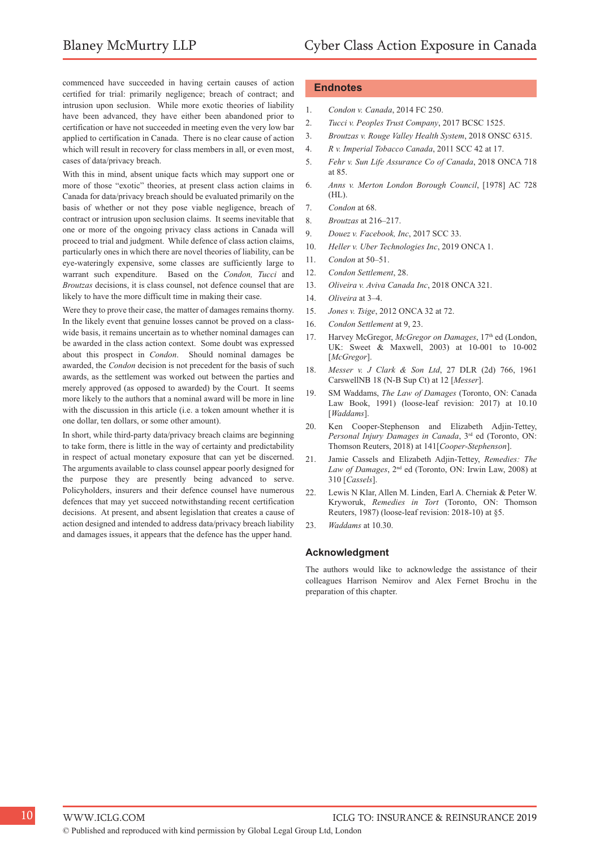commenced have succeeded in having certain causes of action certified for trial: primarily negligence; breach of contract; and intrusion upon seclusion. While more exotic theories of liability have been advanced, they have either been abandoned prior to certification or have not succeeded in meeting even the very low bar applied to certification in Canada. There is no clear cause of action which will result in recovery for class members in all, or even most, cases of data/privacy breach.

With this in mind, absent unique facts which may support one or more of those "exotic" theories, at present class action claims in Canada for data/privacy breach should be evaluated primarily on the basis of whether or not they pose viable negligence, breach of contract or intrusion upon seclusion claims. It seems inevitable that one or more of the ongoing privacy class actions in Canada will proceed to trial and judgment. While defence of class action claims, particularly ones in which there are novel theories of liability, can be eye-wateringly expensive, some classes are sufficiently large to warrant such expenditure. Based on the *Condon, Tucci* and *Broutzas* decisions, it is class counsel, not defence counsel that are likely to have the more difficult time in making their case.

Were they to prove their case, the matter of damages remains thorny. In the likely event that genuine losses cannot be proved on a classwide basis, it remains uncertain as to whether nominal damages can be awarded in the class action context. Some doubt was expressed about this prospect in *Condon*. Should nominal damages be awarded, the *Condon* decision is not precedent for the basis of such awards, as the settlement was worked out between the parties and merely approved (as opposed to awarded) by the Court. It seems more likely to the authors that a nominal award will be more in line with the discussion in this article (i.e. a token amount whether it is one dollar, ten dollars, or some other amount).

In short, while third-party data/privacy breach claims are beginning to take form, there is little in the way of certainty and predictability in respect of actual monetary exposure that can yet be discerned. The arguments available to class counsel appear poorly designed for the purpose they are presently being advanced to serve. Policyholders, insurers and their defence counsel have numerous defences that may yet succeed notwithstanding recent certification decisions. At present, and absent legislation that creates a cause of action designed and intended to address data/privacy breach liability and damages issues, it appears that the defence has the upper hand.

#### **Endnotes**

- 1. *Condon v. Canada*, 2014 FC 250.
- 2. *Tucci v. Peoples Trust Company*, 2017 BCSC 1525.
- 3. *Broutzas v. Rouge Valley Health System*, 2018 ONSC 6315.
- 4. *R v. Imperial Tobacco Canada*, 2011 SCC 42 at 17.
- 5. *Fehr v. Sun Life Assurance Co of Canada*, 2018 ONCA 718 at 85.
- 6. *Anns v. Merton London Borough Council*, [1978] AC 728 (HL).
- 7. *Condon* at 68.
- 8. *Broutzas* at 216–217.
- 9. *Douez v. Facebook, Inc*, 2017 SCC 33.
- 10. *Heller v. Uber Technologies Inc*, 2019 ONCA 1.
- 11. *Condon* at 50–51.
- 12. *Condon Settlement*, 28.
- 13. *Oliveira v. Aviva Canada Inc*, 2018 ONCA 321.
- 14. *Oliveira* at 3–4.
- 15. *Jones v. Tsige*, 2012 ONCA 32 at 72.
- 16. *Condon Settlement* at 9, 23.
- 17. Harvey McGregor, *McGregor on Damages*, 17<sup>th</sup> ed (London, UK: Sweet & Maxwell, 2003) at 10-001 to 10-002 [*McGregor*].
- 18. *Messer v. J Clark & Son Ltd*, 27 DLR (2d) 766, 1961 CarswellNB 18 (N-B Sup Ct) at 12 [*Messer*].
- 19. SM Waddams, *The Law of Damages* (Toronto, ON: Canada Law Book, 1991) (loose-leaf revision: 2017) at 10.10 [*Waddams*].
- 20. Ken Cooper-Stephenson and Elizabeth Adjin-Tettey, *Personal Injury Damages in Canada*, 3rd ed (Toronto, ON: Thomson Reuters, 2018) at 141[*Cooper-Stephenson*].
- 21. Jamie Cassels and Elizabeth Adjin-Tettey, *Remedies: The*  Law of Damages, 2<sup>nd</sup> ed (Toronto, ON: Irwin Law, 2008) at 310 [*Cassels*].
- 22. Lewis N Klar, Allen M. Linden, Earl A. Cherniak & Peter W. Kryworuk, *Remedies in Tort* (Toronto, ON: Thomson Reuters, 1987) (loose-leaf revision: 2018-10) at §5.
- 23. *Waddams* at 10.30.

#### **Acknowledgment**

The authors would like to acknowledge the assistance of their colleagues Harrison Nemirov and Alex Fernet Brochu in the preparation of this chapter.